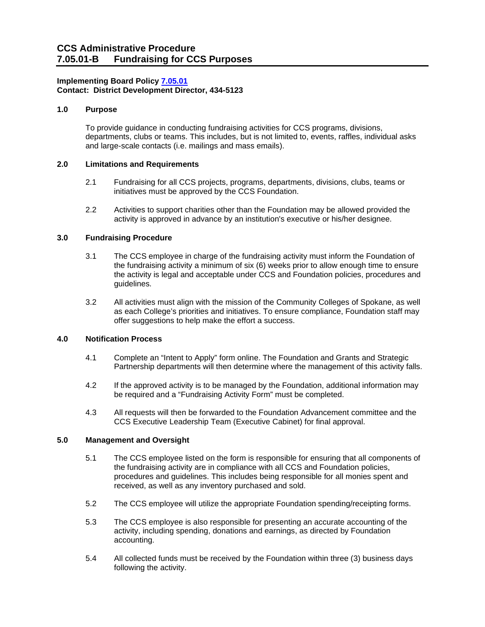# **Implementing Board Policy [7.05.01](https://ccs.spokane.edu/About-Us/Leadership/Board-of-Trustees/Policies-Procedures/Chapter7#AccWE2-1) Contact: District Development Director, 434-5123**

## **1.0 Purpose**

To provide guidance in conducting fundraising activities for CCS programs, divisions, departments, clubs or teams. This includes, but is not limited to, events, raffles, individual asks and large-scale contacts (i.e. mailings and mass emails).

## **2.0 Limitations and Requirements**

- 2.1 Fundraising for all CCS projects, programs, departments, divisions, clubs, teams or initiatives must be approved by the CCS Foundation.
- 2.2 Activities to support charities other than the Foundation may be allowed provided the activity is approved in advance by an institution's executive or his/her designee.

## **3.0 Fundraising Procedure**

- 3.1 The CCS employee in charge of the fundraising activity must inform the Foundation of the fundraising activity a minimum of six (6) weeks prior to allow enough time to ensure the activity is legal and acceptable under CCS and Foundation policies, procedures and guidelines*.*
- 3.2 All activities must align with the mission of the Community Colleges of Spokane, as well as each College's priorities and initiatives. To ensure compliance, Foundation staff may offer suggestions to help make the effort a success.

# **4.0 Notification Process**

- 4.1 Complete an "Intent to Apply" form online. The Foundation and Grants and Strategic Partnership departments will then determine where the management of this activity falls.
- 4.2 If the approved activity is to be managed by the Foundation, additional information may be required and a "Fundraising Activity Form" must be completed.
- 4.3 All requests will then be forwarded to the Foundation Advancement committee and the CCS Executive Leadership Team (Executive Cabinet) for final approval.

# **5.0 Management and Oversight**

- 5.1 The CCS employee listed on the form is responsible for ensuring that all components of the fundraising activity are in compliance with all CCS and Foundation policies, procedures and guidelines. This includes being responsible for all monies spent and received, as well as any inventory purchased and sold.
- 5.2 The CCS employee will utilize the appropriate Foundation spending/receipting forms.
- 5.3 The CCS employee is also responsible for presenting an accurate accounting of the activity, including spending, donations and earnings, as directed by Foundation accounting.
- 5.4 All collected funds must be received by the Foundation within three (3) business days following the activity.